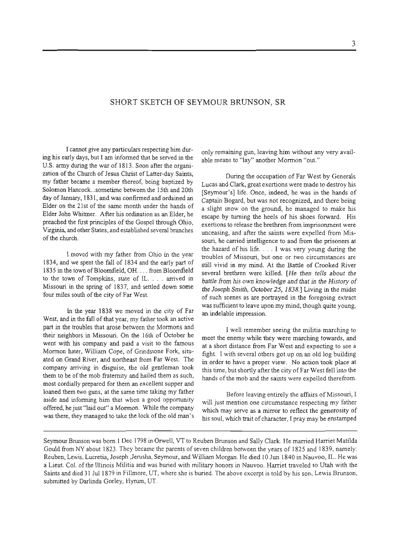## SHORT SKETCH OF SEYMOUR **BRUNSON,** SR

I cannot give any particulars respecting him during his early days, but I am informed that he served in the U.S. army during the war of 1813. Soon after the organization of the Church of Jesus Christ of Latter-day Saints, my father became a member thereof, being baptized by Solomon Hancock ... sometime between the 15th and 20th day of January, 183 1, and was confirmed and ordained **an**  Elder on the 21st of the same month under the hands of Elder John Whitmer. After his ordination as an Elder, he preached the fust principles of the Gospel **through** Ohio, **Virginia,** and other States, and established several branches of the church.

I moved with my father from Ohio in the year 1834, and we spent the fall of 1834 and the early part of 1835 in the town of Bloomfield, OH. . . . from Bloomfield to the town of Tompkins, state of IL. . . . arrived in Missouri in the spring of 1837, and settled down some four miles south of the **city** of Far West.

**In** the year 1838 we moved in the city of Far West, **and** in the fall of that year, my father took an active part in the troubles that arose between the Mormons and their neighbors in Missouri. On the 16th of October be went with his company and paid a visit to the famous Mormon hater, William Cope, of Grindstone Fork, situated on Grand River, and northeast from **Far** West. The company arriving in disguise, the old gentleman took them to be of the mob fraternity and hailed them as such, most cordially prepared for them **an** excellent supper arid loaned them two guns, at the same time taking my father aside and informing him that when a good opportunity offered, he just "laid out" a Mormon. While the company was there, they managed to take the lock of the old man's only remaining gun, leaving him without **any very** available means to "lay" another Morrnon "out."

During the occupation of **Far** West by Generals Lucas and Clark, great exertions were made to destroy his [Seymour's] life. Once, indeed, he was in the hands of Captain Bogard, but was not recognized, and there being a slight snow on the ground, he managed to make his escape by turning the heels of his shoes forward. His exertions to release the brethren from imprisonment were unceasing, and after the saints were expelled from Missouri, he carried intelhgence to and from the prisoners at the hazard of his life. . . . I was very young **during** the troubles of Missouri, but one or two circumstances are still vivid in my mind. At the Battle of Crooked River several brethren were killed. *[He then* tells *about the battle from his own knowledge* **and** *that in the History of the Joseph* **Smith,** *October25,* 1838.1 Living *in* the midst of such scenes as are portrayed in the foregoing extract was sufficient to leave upon my mind, though quite young, an indelable impression.

I well remember seeing the militia marching to meet the enemy while they were marching towards, and at a short distance from **Far** West **and** expecting to see a fight. I with several others got up on an old log building in order to have a proper view. No action took place at this time, but shortly after the city of Far West fell into the hands of the mob and the saints were expelled therefrom.

Before leaving entirely the affairs of Missouri, I will just mention one circumstance respecting my father which **may** serve as a mirror to reflect the generosity of his soul, which trait of character, I pray may be enstamped

Seymour Brunson was born **1** Dec 1798 in Orwell, VT to Reuben Brunson and Sally Clark. He married Harriet Matilda Gould from **NY** about 1823. They became the parents of seven children between the years of 1825 and 1839, namely: Reuben, Lewis, Lucretia, Joseph ,Jerusha, Seymour, and William Morgan. He died 10 **Jun** 1840 in Nauvoo, IL. He **was**  a Lieut. Col. of the Illinois Militia and was buried with military honors in Nauvoo. Harriet traveled to Utah with the Saints and died 31 Jul 1879 in Fillmore, UT, where she is buried. The above excerpt is told by his son, Lewis Brunson, submitted by Darlinda Gorley, Hyrum, UT.